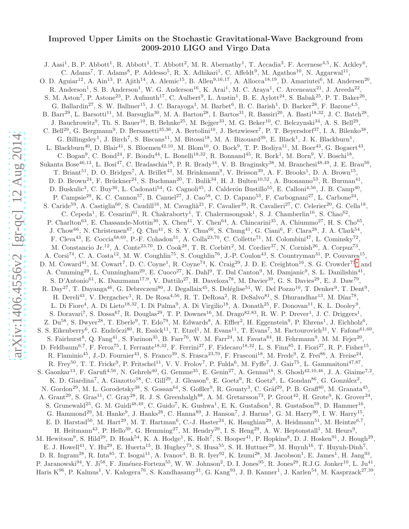## Improved Upper Limits on the Stochastic Gravitational-Wave Background from 2009-2010 LIGO and Virgo Data

J. Aasi<sup>1</sup>, B. P. Abbott<sup>1</sup>, R. Abbott<sup>1</sup>, T. Abbott<sup>2</sup>, M. R. Abernathy<sup>1</sup>, T. Accadia<sup>3</sup>, F. Acernese<sup>4,5</sup>, K. Ackley<sup>6</sup>, C. Adams<sup>7</sup>, T. Adams<sup>8</sup>, P. Addesso<sup>5</sup>, R. X. Adhikari<sup>1</sup>, C. Affeldt<sup>9</sup>, M. Agathos<sup>10</sup>, N. Aggarwal<sup>11</sup>, O. D. Aguiar<sup>12</sup>, A. Ain<sup>13</sup>, P. Ajith<sup>14</sup>, A. Alemic<sup>15</sup>, B. Allen<sup>9,16,17</sup>, A. Allocca<sup>18,19</sup>, D. Amariutei<sup>6</sup>, M. Andersen<sup>20</sup>, R. Anderson<sup>1</sup>, S. B. Anderson<sup>1</sup>, W. G. Anderson<sup>16</sup>, K. Arai<sup>1</sup>, M. C. Araya<sup>1</sup>, C. Arceneaux<sup>21</sup>, J. Areeda<sup>22</sup>, S. M. Aston<sup>7</sup>, P. Astone<sup>23</sup>, P. Aufmuth<sup>17</sup>, C. Aulbert<sup>9</sup>, L. Austin<sup>1</sup>, B. E. Aylott<sup>24</sup>, S. Babak<sup>25</sup>, P. T. Baker<sup>26</sup>, G. Ballardin<sup>27</sup>, S. W. Ballmer<sup>15</sup>, J. C. Barayoga<sup>1</sup>, M. Barbet<sup>6</sup>, B. C. Barish<sup>1</sup>, D. Barker<sup>28</sup>, F. Barone<sup>4,5</sup>, B. Barr<sup>29</sup>, L. Barsotti<sup>11</sup>, M. Barsuglia<sup>30</sup>, M. A. Barton<sup>28</sup>, I. Bartos<sup>31</sup>, R. Bassiri<sup>20</sup>, A. Basti<sup>18,32</sup>, J. C. Batch<sup>28</sup>, J. Bauchrowitz<sup>9</sup>, Th. S. Bauer<sup>10</sup>, B. Behnke<sup>25</sup>, M. Bejger<sup>33</sup>, M. G. Beker<sup>10</sup>, C. Belczynski<sup>34</sup>, A. S. Bell<sup>29</sup>, C. Bell<sup>29</sup>, G. Bergmann<sup>9</sup>, D. Bersanetti<sup>35,36</sup>, A. Bertolini<sup>10</sup>, J. Betzwieser<sup>7</sup>, P. T. Beyersdorf<sup>37</sup>, I. A. Bilenko<sup>38</sup>, G. Billingsley<sup>1</sup>, J. Birch<sup>7</sup>, S. Biscans<sup>11</sup>, M. Bitossi<sup>18</sup>, M. A. Bizouard<sup>39</sup>, E. Black<sup>1</sup>, J. K. Blackburn<sup>1</sup>, L. Blackburn<sup>40</sup>, D. Blair<sup>41</sup>, S. Bloemen<sup>42,10</sup>, M. Blom<sup>10</sup>, O. Bock<sup>9</sup>, T. P. Bodiya<sup>11</sup>, M. Boer<sup>43</sup>, G. Bogaert<sup>43</sup>, C. Bogan<sup>9</sup>, C. Bond<sup>24</sup>, F. Bondu<sup>44</sup>, L. Bonelli<sup>18,32</sup>, R. Bonnand<sup>45</sup>, R. Bork<sup>1</sup>, M. Born<sup>9</sup>, V. Boschi<sup>18</sup>, Sukanta Bose<sup>46,13</sup>, L. Bosi<sup>47</sup>, C. Bradaschia<sup>18</sup>, P. R. Brady<sup>16</sup>, V. B. Braginsky<sup>38</sup>, M. Branchesi<sup>48,49</sup>, J. E. Brau<sup>50</sup>, T. Briant<sup>51</sup>, D. O. Bridges<sup>7</sup>, A. Brillet<sup>43</sup>, M. Brinkmann<sup>9</sup>, V. Brisson<sup>39</sup>, A. F. Brooks<sup>1</sup>, D. A. Brown<sup>15</sup>, D. D. Brown<sup>24</sup>, F. Brückner<sup>24</sup>, S. Buchman<sup>20</sup>, T. Bulik<sup>34</sup>, H. J. Bulten<sup>10,52</sup>, A. Buonanno<sup>53</sup>, R. Burman<sup>41</sup>, D. Buskulic<sup>3</sup>, C. Buy<sup>30</sup>, L. Cadonati<sup>54</sup>, G. Cagnoli<sup>45</sup>, J. Calderón Bustillo<sup>55</sup>, E. Calloni<sup>4,56</sup>, J. B. Camp<sup>40</sup>, P. Campsie<sup>29</sup>, K. C. Cannon<sup>57</sup>, B. Canuel<sup>27</sup>, J. Cao<sup>58</sup>, C. D. Capano<sup>53</sup>, F. Carbognani<sup>27</sup>, L. Carbone<sup>24</sup>, S. Caride<sup>59</sup>, A. Castiglia<sup>60</sup>, S. Caudill<sup>16</sup>, M. Cavaglià<sup>21</sup>, F. Cavalier<sup>39</sup>, R. Cavalieri<sup>27</sup>, C. Celerier<sup>20</sup>, G. Cella<sup>18</sup>, C. Cepeda<sup>1</sup>, E. Cesarini<sup>61</sup>, R. Chakraborty<sup>1</sup>, T. Chalermsongsak<sup>1</sup>, S. J. Chamberlin<sup>16</sup>, S. Chao<sup>62</sup>, P. Charlton<sup>63</sup>, E. Chassande-Mottin<sup>30</sup>, X. Chen<sup>41</sup>, Y. Chen<sup>64</sup>, A. Chincarini<sup>35</sup>, A. Chiummo<sup>27</sup>, H. S. Cho<sup>65</sup>, J. Chow<sup>66</sup>, N. Christensen<sup>67</sup>, Q. Chu<sup>41</sup>, S. S. Y. Chua<sup>66</sup>, S. Chung<sup>41</sup>, G. Ciani<sup>6</sup>, F. Clara<sup>28</sup>, J. A. Clark<sup>54</sup>, F. Cleva<sup>43</sup>, E. Coccia<sup>68,69</sup>, P.-F. Cohadon<sup>51</sup>, A. Colla<sup>23,70</sup>, C. Collette<sup>71</sup>, M. Colombini<sup>47</sup>, L. Cominsky<sup>72</sup>, M. Constancio Jr.<sup>12</sup>, A. Conte<sup>23,70</sup>, D. Cook<sup>28</sup>, T. R. Corbitt<sup>2</sup>, M. Cordier<sup>37</sup>, N. Cornish<sup>26</sup>, A. Corpuz<sup>73</sup>, A. Corsi<sup>74</sup>, C. A. Costa<sup>12</sup>, M. W. Coughlin<sup>75</sup>, S. Coughlin<sup>76</sup>, J.-P. Coulon<sup>43</sup>, S. Countryman<sup>31</sup>, P. Couvares<sup>15</sup>, D. M. Coward<sup>41</sup>, M. Cowart<sup>7</sup>, D. C. Coyne<sup>1</sup>, R. Coyne<sup>74</sup>, K. Craig<sup>29</sup>, J. D. E. Creighton<sup>16</sup>, S. G. Crowder<sup>77</sup>\* and A. Cumming<sup>29</sup>, L. Cunningham<sup>29</sup>, E. Cuoco<sup>27</sup>, K. Dahl<sup>9</sup>, T. Dal Canton<sup>9</sup>, M. Damjanic<sup>9</sup>, S. L. Danilishin<sup>41</sup>, S. D'Antonio<sup>61</sup>, K. Danzmann<sup>17,9</sup>, V. Dattilo<sup>27</sup>, H. Daveloza<sup>78</sup>, M. Davier<sup>39</sup>, G. S. Davies<sup>29</sup>, E. J. Daw<sup>79</sup>, R. Day<sup>27</sup>, T. Dayanga<sup>46</sup>, G. Debreczeni<sup>80</sup>, J. Degallaix<sup>45</sup>, S. Deléglise<sup>51</sup>, W. Del Pozzo<sup>10</sup>, T. Denker<sup>9</sup>, T. Dent<sup>9</sup>, H. Dereli<sup>43</sup>, V. Dergachev<sup>1</sup>, R. De Rosa<sup>4,56</sup>, R. T. DeRosa<sup>2</sup>, R. DeSalvo<sup>81</sup>, S. Dhurandhar<sup>13</sup>, M. Díaz<sup>78</sup>, L. Di Fiore<sup>4</sup>, A. Di Lieto<sup>18,32</sup>, I. Di Palma<sup>9</sup>, A. Di Virgilio<sup>18</sup>, A. Donath<sup>25</sup>, F. Donovan<sup>11</sup>, K. L. Dooley<sup>9</sup>, S. Doravari<sup>7</sup>, S. Dossa<sup>67</sup>, R. Douglas<sup>29</sup>, T. P. Downes<sup>16</sup>, M. Drago<sup>82,83</sup>, R. W. P. Drever<sup>1</sup>, J. C. Driggers<sup>1</sup>, Z. Du<sup>58</sup>, S. Dwyer<sup>28</sup>, T. Eberle<sup>9</sup>, T. Edo<sup>79</sup>, M. Edwards<sup>8</sup>, A. Effler<sup>2</sup>, H. Eggenstein<sup>9</sup>, P. Ehrens<sup>1</sup>, J. Eichholz<sup>6</sup>, S. S. Eikenberry<sup>6</sup>, G. Endrőczi<sup>80</sup>, R. Essick<sup>11</sup>, T. Etzel<sup>1</sup>, M. Evans<sup>11</sup>, T. Evans<sup>7</sup>, M. Factourovich<sup>31</sup>, V. Fafone<sup>61,69</sup>, S. Fairhurst<sup>8</sup>, Q. Fang<sup>41</sup>, S. Farinon<sup>35</sup>, B. Farr<sup>76</sup>, W. M. Farr<sup>24</sup>, M. Favata<sup>84</sup>, H. Fehrmann<sup>9</sup>, M. M. Fejer<sup>20</sup>, D. Feldbaum<sup>6,7</sup>, F. Feroz<sup>75</sup>, I. Ferrante<sup>18,32</sup>, F. Ferrini<sup>27</sup>, F. Fidecaro<sup>18,32</sup>, L. S. Finn<sup>85</sup>, I. Fiori<sup>27</sup>, R. P. Fisher<sup>15</sup>, R. Flaminio<sup>45</sup>, J.-D. Fournier<sup>43</sup>, S. Franco<sup>39</sup>, S. Frasca<sup>23,70</sup>, F. Frasconi<sup>18</sup>, M. Frede<sup>9</sup>, Z. Frei<sup>86</sup>, A. Freise<sup>24</sup>, R. Frey<sup>50</sup>, T. T. Fricke<sup>9</sup>, P. Fritschel<sup>11</sup>, V. V. Frolov<sup>7</sup>, P. Fulda<sup>6</sup>, M. Fyffe<sup>7</sup>, J. Gair<sup>75</sup>, L. Gammaitoni<sup>47,87</sup>, S. Gaonkar<sup>13</sup>, F. Garufi<sup>4,56</sup>, N. Gehrels<sup>40</sup>, G. Gemme<sup>35</sup>, E. Genin<sup>27</sup>, A. Gennai<sup>18</sup>, S. Ghosh<sup>42,10,46</sup>, J. A. Giaime<sup>7,2</sup>, K. D. Giardina<sup>7</sup>, A. Giazotto<sup>18</sup>, C. Gill<sup>29</sup>, J. Gleason<sup>6</sup>, E. Goetz<sup>9</sup>, R. Goetz<sup>6</sup>, L. Gondan<sup>86</sup>, G. González<sup>2</sup>, N. Gordon<sup>29</sup>, M. L. Gorodetsky<sup>38</sup>, S. Gossan<sup>64</sup>, S. Goßler<sup>9</sup>, R. Gouaty<sup>3</sup>, C. Gräf<sup>29</sup>, P. B. Graff<sup>40</sup>, M. Granata<sup>45</sup> , A. Grant<sup>29</sup>, S. Gras<sup>11</sup>, C. Gray<sup>28</sup>, R. J. S. Greenhalgh<sup>88</sup>, A. M. Gretarsson<sup>73</sup>, P. Groot<sup>42</sup>, H. Grote<sup>9</sup>, K. Grover<sup>24</sup>, S. Grunewald<sup>25</sup>, G. M. Guidi<sup>48,49</sup>, C. Guido<sup>7</sup>, K. Gushwa<sup>1</sup>, E. K. Gustafson<sup>1</sup>, R. Gustafson<sup>59</sup>, D. Hammer<sup>16</sup>, G. Hammond<sup>29</sup>, M. Hanke<sup>9</sup>, J. Hanks<sup>28</sup>, C. Hanna<sup>89</sup>, J. Hanson<sup>7</sup>, J. Harms<sup>1</sup>, G. M. Harry<sup>90</sup>, I. W. Harry<sup>15</sup>, E. D. Harstad<sup>50</sup>, M. Hart<sup>29</sup>, M. T. Hartman<sup>6</sup>, C.-J. Haster<sup>24</sup>, K. Haughian<sup>29</sup>, A. Heidmann<sup>51</sup>, M. Heintze<sup>6,7</sup>, H. Heitmann<sup>43</sup>, P. Hello<sup>39</sup>, G. Hemming<sup>27</sup>, M. Hendry<sup>29</sup>, I. S. Heng<sup>29</sup>, A. W. Heptonstall<sup>1</sup>, M. Heurs<sup>9</sup>, M. Hewitson<sup>9</sup>, S. Hild<sup>29</sup>, D. Hoak<sup>54</sup>, K. A. Hodge<sup>1</sup>, K. Holt<sup>7</sup>, S. Hooper<sup>41</sup>, P. Hopkins<sup>8</sup>, D. J. Hosken<sup>91</sup>, J. Hough<sup>29</sup>, E. J. Howell<sup>41</sup>, Y. Hu<sup>29</sup>, E. Huerta<sup>15</sup>, B. Hughey<sup>73</sup>, S. Husa<sup>55</sup>, S. H. Huttner<sup>29</sup>, M. Huynh<sup>16</sup>, T. Huynh-Dinh<sup>7</sup>, D. R. Ingram<sup>28</sup>, R. Inta<sup>85</sup>, T. Isogai<sup>11</sup>, A. Ivanov<sup>1</sup>, B. R. Iyer<sup>92</sup>, K. Izumi<sup>28</sup>, M. Jacobson<sup>1</sup>, E. James<sup>1</sup>, H. Jang<sup>93</sup>, P. Jaranowski<sup>94</sup>, Y. Ji<sup>58</sup>, F. Jiménez-Forteza<sup>55</sup>, W. W. Johnson<sup>2</sup>, D. I. Jones<sup>95</sup>, R. Jones<sup>29</sup>, R.J.G. Jonker<sup>10</sup>, L. Ju<sup>41</sup>, Haris K<sup>96</sup>, P. Kalmus<sup>1</sup>, V. Kalogera<sup>76</sup>, S. Kandhasamy<sup>21</sup>, G. Kang<sup>93</sup>, J. B. Kanner<sup>1</sup>, J. Karlen<sup>54</sup>, M. Kasprzack<sup>27,39</sup>,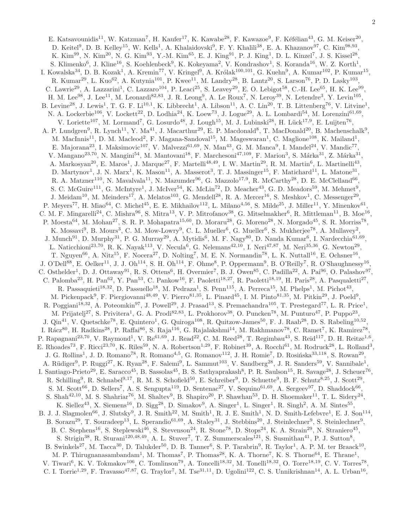E. Katsavounidis<sup>11</sup>, W. Katzman<sup>7</sup>, H. Kaufer<sup>17</sup>, K. Kawabe<sup>28</sup>, F. Kawazoe<sup>9</sup>, F. Kéfélian<sup>43</sup>, G. M. Keiser<sup>20</sup>, D. Keitel<sup>9</sup>, D. B. Kelley<sup>15</sup>, W. Kells<sup>1</sup>, A. Khalaidovski<sup>9</sup>, F. Y. Khalili<sup>38</sup>, E. A. Khazanov<sup>97</sup>, C. Kim<sup>98,93</sup>, K. Kim<sup>99</sup>, N. Kim<sup>20</sup>, N. G. Kim<sup>93</sup>, Y.-M. Kim<sup>65</sup>, E. J. King<sup>91</sup>, P. J. King<sup>1</sup>, D. L. Kinzel<sup>7</sup>, J. S. Kissel<sup>28</sup>, S. Klimenko<sup>6</sup>, J. Kline<sup>16</sup>, S. Koehlenbeck<sup>9</sup>, K. Kokeyama<sup>2</sup>, V. Kondrashov<sup>1</sup>, S. Koranda<sup>16</sup>, W. Z. Korth<sup>1</sup>, I. Kowalska<sup>34</sup>, D. B. Kozak<sup>1</sup>, A. Kremin<sup>77</sup>, V. Kringel<sup>9</sup>, A. Królak<sup>100,101</sup>, G. Kuehn<sup>9</sup>, A. Kumar<sup>102</sup>, P. Kumar<sup>15</sup>, R. Kumar<sup>29</sup>, L. Kuo<sup>62</sup>, A. Kutynia<sup>101</sup>, P. Kwee<sup>11</sup>, M. Landry<sup>28</sup>, B. Lantz<sup>20</sup>, S. Larson<sup>76</sup>, P. D. Lasky<sup>103</sup>, C. Lawrie<sup>29</sup>, A. Lazzarini<sup>1</sup>, C. Lazzaro<sup>104</sup>, P. Leaci<sup>25</sup>, S. Leavey<sup>29</sup>, E. O. Lebigot<sup>58</sup>, C.-H. Lee<sup>65</sup>, H. K. Lee<sup>99</sup>, H. M. Lee<sup>98</sup>, J. Lee<sup>11</sup>, M. Leonardi<sup>82,83</sup>, J. R. Leong<sup>9</sup>, A. Le Roux<sup>7</sup>, N. Leroy<sup>39</sup>, N. Letendre<sup>3</sup>, Y. Levin<sup>105</sup>, B. Levine<sup>28</sup>, J. Lewis<sup>1</sup>, T. G. F. Li<sup>10,1</sup>, K. Libbrecht<sup>1</sup>, A. Libson<sup>11</sup>, A. C. Lin<sup>20</sup>, T. B. Littenberg<sup>76</sup>, V. Litvine<sup>1</sup>, N. A. Lockerbie<sup>106</sup>, V. Lockett<sup>22</sup>, D. Lodhia<sup>24</sup>, K. Loew<sup>73</sup>, J. Logue<sup>29</sup>, A. L. Lombardi<sup>54</sup>, M. Lorenzini<sup>61,69</sup>, V. Loriette<sup>107</sup>, M. Lormand<sup>7</sup>, G. Losurdo<sup>48</sup>, J. Lough<sup>15</sup>, M. J. Lubinski<sup>28</sup>, H. Lück<sup>17,9</sup>, E. Luijten<sup>76</sup>, A. P. Lundgren<sup>9</sup>, R. Lynch<sup>11</sup>, Y. Ma<sup>41</sup>, J. Macarthur<sup>29</sup>, E. P. Macdonald<sup>8</sup>, T. MacDonald<sup>20</sup>, B. Machenschalk<sup>9</sup>, M. MacInnis<sup>11</sup>, D. M. Macleod<sup>2</sup>, F. Magana-Sandoval<sup>15</sup>, M. Mageswaran<sup>1</sup>, C. Maglione<sup>108</sup>, K. Mailand<sup>1</sup>, E. Majorana<sup>23</sup>, I. Maksimovic<sup>107</sup>, V. Malvezzi<sup>61,69</sup>, N. Man<sup>43</sup>, G. M. Manca<sup>9</sup>, I. Mandel<sup>24</sup>, V. Mandic<sup>77</sup>, V. Mangano<sup>23,70</sup>, N. Mangini<sup>54</sup>, M. Mantovani<sup>18</sup>, F. Marchesoni<sup>47,109</sup>, F. Marion<sup>3</sup>, S. Márka<sup>31</sup>, Z. Márka<sup>31</sup>, A. Markosyan<sup>20</sup>, E. Maros<sup>1</sup>, J. Marque<sup>27</sup>, F. Martelli<sup>48,49</sup>, I. W. Martin<sup>29</sup>, R. M. Martin<sup>6</sup>, L. Martinelli<sup>43</sup>, D. Martynov<sup>1</sup>, J. N. Marx<sup>1</sup>, K. Mason<sup>11</sup>, A. Masserot<sup>3</sup>, T. J. Massinger<sup>15</sup>, F. Matichard<sup>11</sup>, L. Matone<sup>31</sup>, R. A. Matzner<sup>110</sup>, N. Mavalvala<sup>11</sup>, N. Mazumder<sup>96</sup>, G. Mazzolo<sup>17,9</sup>, R. McCarthy<sup>28</sup>, D. E. McClelland<sup>66</sup>, S. C. McGuire<sup>111</sup>, G. McIntyre<sup>1</sup>, J. McIver<sup>54</sup>, K. McLin<sup>72</sup>, D. Meacher<sup>43</sup>, G. D. Meadors<sup>59</sup>, M. Mehmet<sup>9</sup>, J. Meidam<sup>10</sup>, M. Meinders<sup>17</sup>, A. Melatos<sup>103</sup>, G. Mendell<sup>28</sup>, R. A. Mercer<sup>16</sup>, S. Meshkov<sup>1</sup>, C. Messenger<sup>29</sup>, P. Meyers<sup>77</sup>, H. Miao<sup>64</sup>, C. Michel<sup>45</sup>, E. E. Mikhailov<sup>112</sup>, L. Milano<sup>4,56</sup>, S. Milde<sup>25</sup>, J. Miller<sup>11</sup>, Y. Minenkov<sup>61</sup> , C. M. F. Mingarelli<sup>24</sup>, C. Mishra<sup>96</sup>, S. Mitra<sup>13</sup>, V. P. Mitrofanov<sup>38</sup>, G. Mitselmakher<sup>6</sup>, R. Mittleman<sup>11</sup>, B. Moe<sup>16</sup>, P. Moesta<sup>64</sup>, M. Mohan<sup>27</sup>, S. R. P. Mohapatra<sup>15,60</sup>, D. Moraru<sup>28</sup>, G. Moreno<sup>28</sup>, N. Morgado<sup>45</sup>, S. R. Morriss<sup>78</sup>, K. Mossavi<sup>9</sup>, B. Mours<sup>3</sup>, C. M. Mow-Lowry<sup>9</sup>, C. L. Mueller<sup>6</sup>, G. Mueller<sup>6</sup>, S. Mukherjee<sup>78</sup>, A. Mullavey<sup>2</sup>, J. Munch<sup>91</sup>, D. Murphy<sup>31</sup>, P. G. Murray<sup>29</sup>, A. Mytidis<sup>6</sup>, M. F. Nagy<sup>80</sup>, D. Nanda Kumar<sup>6</sup>, I. Nardecchia<sup>61,69</sup>, L. Naticchioni<sup>23,70</sup>, R. K. Nayak<sup>113</sup>, V. Necula<sup>6</sup>, G. Nelemans<sup>42,10</sup>, I. Neri<sup>47,87</sup>, M. Neri<sup>35,36</sup>, G. Newton<sup>29</sup>, T. Nguyen<sup>66</sup>, A. Nitz<sup>15</sup>, F. Nocera<sup>27</sup>, D. Nolting<sup>7</sup>, M. E. N. Normandin<sup>78</sup>, L. K. Nuttall<sup>16</sup>, E. Ochsner<sup>16</sup>, J. O'Dell<sup>88</sup>, E. Oelker<sup>11</sup>, J. J. Oh<sup>114</sup>, S. H. Oh<sup>114</sup>, F. Ohme<sup>8</sup>, P. Oppermann<sup>9</sup>, B. O'Reilly<sup>7</sup>, R. O'Shaughnessy<sup>16</sup> , C. Osthelder<sup>1</sup>, D. J. Ottaway<sup>91</sup>, R. S. Ottens<sup>6</sup>, H. Overmier<sup>7</sup>, B. J. Owen<sup>85</sup>, C. Padilla<sup>22</sup>, A. Pai<sup>96</sup>, O. Palashov<sup>97</sup>, C. Palomba<sup>23</sup>, H. Pan<sup>62</sup>, Y. Pan<sup>53</sup>, C. Pankow<sup>16</sup>, F. Paoletti<sup>18,27</sup>, R. Paoletti<sup>18,19</sup>, H. Paris<sup>28</sup>, A. Pasqualetti<sup>27</sup>, R. Passaquieti<sup>18,32</sup>, D. Passuello<sup>18</sup>, M. Pedraza<sup>1</sup>, S. Penn<sup>115</sup>, A. Perreca<sup>15</sup>, M. Phelps<sup>1</sup>, M. Pichot<sup>43</sup>, M. Pickenpack<sup>9</sup>, F. Piergiovanni<sup>48,49</sup>, V. Pierro<sup>81,35</sup>, L. Pinard<sup>45</sup>, I. M. Pinto<sup>81,35</sup>, M. Pitkin<sup>29</sup>, J. Poeld<sup>9</sup>, R. Poggiani<sup>18,32</sup>, A. Poteomkin<sup>97</sup>, J. Powell<sup>29</sup>, J. Prasad<sup>13</sup>, S. Premachandra<sup>105</sup>, T. Prestegard<sup>77</sup>, L. R. Price<sup>1</sup>, M. Prijatelj<sup>27</sup>, S. Privitera<sup>1</sup>, G. A. Prodi<sup>82,83</sup>, L. Prokhorov<sup>38</sup>, O. Puncken<sup>78</sup>, M. Punturo<sup>47</sup>, P. Puppo<sup>23</sup>, J. Qin<sup>41</sup>, V. Quetschke<sup>78</sup>, E. Quintero<sup>1</sup>, G. Quiroga<sup>108</sup>, R. Quitzow-James<sup>50</sup>, F. J. Raab<sup>28</sup>, D. S. Rabeling<sup>10,52</sup>, I. Rácz<sup>80</sup>, H. Radkins<sup>28</sup>, P. Raffai<sup>86</sup>, S. Raja<sup>116</sup>, G. Rajalakshmi<sup>14</sup>, M. Rakhmanov<sup>78</sup>, C. Ramet<sup>7</sup>, K. Ramirez<sup>78</sup>, P. Rapagnani<sup>23,70</sup>, V. Raymond<sup>1</sup>, V. Re<sup>61,69</sup>, J. Read<sup>22</sup>, C. M. Reed<sup>28</sup>, T. Regimbau<sup>43</sup>, S. Reid<sup>117</sup>, D. H. Reitze<sup>1,6</sup>, E. Rhoades<sup>73</sup>, F. Ricci<sup>23,70</sup>, K. Riles<sup>59</sup>, N. A. Robertson<sup>1,29</sup>, F. Robinet<sup>39</sup>, A. Rocchi<sup>61</sup>, M. Rodruck<sup>28</sup>, L. Rolland<sup>3</sup>, J. G. Rollins<sup>1</sup>, J. D. Romano<sup>78</sup>, R. Romano<sup>4,5</sup>, G. Romanov<sup>112</sup>, J. H. Romie<sup>7</sup>, D. Rosińska<sup>33,118</sup>, S. Rowan<sup>29</sup>, A. Rüdiger<sup>9</sup>, P. Ruggi<sup>27</sup>, K. Ryan<sup>28</sup>, F. Salemi<sup>9</sup>, L. Sammut<sup>103</sup>, V. Sandberg<sup>28</sup>, J. R. Sanders<sup>59</sup>, V. Sannibale<sup>1</sup> , I. Santiago-Prieto<sup>29</sup>, E. Saracco<sup>45</sup>, B. Sassolas<sup>45</sup>, B. S. Sathyaprakash<sup>8</sup>, P. R. Saulson<sup>15</sup>, R. Savage<sup>28</sup>, J. Scheuer<sup>76</sup>, R. Schilling<sup>9</sup>, R. Schnabel<sup>9,17</sup>, R. M. S. Schofield<sup>50</sup>, E. Schreiber<sup>9</sup>, D. Schuette<sup>9</sup>, B. F. Schutz<sup>8,25</sup>, J. Scott<sup>29</sup>, S. M. Scott<sup>66</sup>, D. Sellers<sup>7</sup>, A. S. Sengupta<sup>119</sup>, D. Sentenac<sup>27</sup>, V. Sequino<sup>61,69</sup>, A. Sergeev<sup>97</sup>, D. Shaddock<sup>66</sup>, S. Shah<sup>42,10</sup>, M. S. Shahriar<sup>76</sup>, M. Shaltev<sup>9</sup>, B. Shapiro<sup>20</sup>, P. Shawhan<sup>53</sup>, D. H. Shoemaker<sup>11</sup>, T. L. Sidery<sup>24</sup>, K. Siellez<sup>43</sup>, X. Siemens<sup>16</sup>, D. Sigg<sup>28</sup>, D. Simakov<sup>9</sup>, A. Singer<sup>1</sup>, L. Singer<sup>1</sup>, R. Singh<sup>2</sup>, A. M. Sintes<sup>55</sup>, B. J. J. Slagmolen<sup>66</sup>, J. Slutsky<sup>9</sup>, J. R. Smith<sup>22</sup>, M. Smith<sup>1</sup>, R. J. E. Smith<sup>1</sup>, N. D. Smith-Lefebvre<sup>1</sup>, E. J. Son<sup>114</sup>, B. Sorazu<sup>29</sup>, T. Souradeep<sup>13</sup>, L. Sperandio<sup>61,69</sup>, A. Staley<sup>31</sup>, J. Stebbins<sup>20</sup>, J. Steinlechner<sup>9</sup>, S. Steinlechner<sup>9</sup>, B. C. Stephens<sup>16</sup>, S. Steplewski<sup>46</sup>, S. Stevenson<sup>24</sup>, R. Stone<sup>78</sup>, D. Stops<sup>24</sup>, K. A. Strain<sup>29</sup>, N. Straniero<sup>45</sup>, S. Strigin<sup>38</sup>, R. Sturani<sup>120,48,49</sup>, A. L. Stuver<sup>7</sup>, T. Z. Summerscales<sup>121</sup>, S. Susmithan<sup>41</sup>, P. J. Sutton<sup>8</sup>, B. Swinkels<sup>27</sup>, M. Tacca<sup>30</sup>, D. Talukder<sup>50</sup>, D. B. Tanner<sup>6</sup>, S. P. Tarabrin<sup>9</sup>, R. Taylor<sup>1</sup>, A. P. M. ter Braack<sup>10</sup>, M. P. Thirugnanasambandam<sup>1</sup>, M. Thomas<sup>7</sup>, P. Thomas<sup>28</sup>, K. A. Thorne<sup>7</sup>, K. S. Thorne<sup>64</sup>, E. Thrane<sup>1</sup>, V. Tiwari<sup>6</sup>, K. V. Tokmakov<sup>106</sup>, C. Tomlinson<sup>79</sup>, A. Toncelli<sup>18,32</sup>, M. Tonelli<sup>18,32</sup>, O. Torre<sup>18,19</sup>, C. V. Torres<sup>78</sup>, C. I. Torrie<sup>1,29</sup>, F. Travasso<sup>47,87</sup>, G. Traylor<sup>7</sup>, M. Tse<sup>31,11</sup>, D. Ugolini<sup>122</sup>, C. S. Unnikrishnan<sup>14</sup>, A. L. Urban<sup>16</sup>,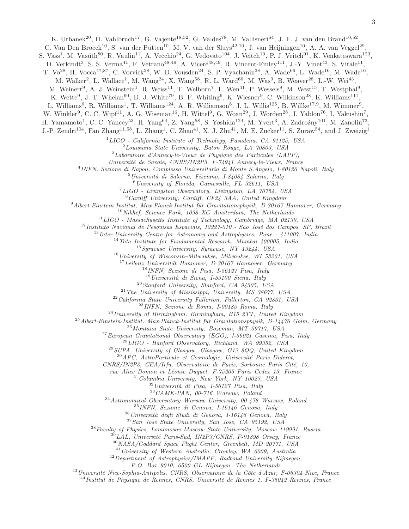K. Urbanek<sup>20</sup>, H. Vahlbruch<sup>17</sup>, G. Vajente<sup>18,32</sup>, G. Valdes<sup>78</sup>, M. Vallisneri<sup>64</sup>, J. F. J. van den Brand<sup>10,52</sup>,

C. Van Den Broeck<sup>10</sup>, S. van der Putten<sup>10</sup>, M. V. van der Sluys<sup>42,10</sup>, J. van Heijningen<sup>10</sup>, A. A. van Veggel<sup>29</sup>,

S. Vass<sup>1</sup>, M. Vasúth<sup>80</sup>, R. Vaulin<sup>11</sup>, A. Vecchio<sup>24</sup>, G. Vedovato<sup>104</sup>, J. Veitch<sup>10</sup>, P. J. Veitch<sup>91</sup>, K. Venkateswara<sup>123</sup>,

D. Verkindt<sup>3</sup>, S. S. Verma<sup>41</sup>, F. Vetrano<sup>48,49</sup>, A. Viceré<sup>48,49</sup>, R. Vincent-Finley<sup>111</sup>, J.-Y. Vinet<sup>43</sup>, S. Vitale<sup>11</sup>,

T. Vo<sup>28</sup>, H. Vocca<sup>47,87</sup>, C. Vorvick<sup>28</sup>, W. D. Vousden<sup>24</sup>, S. P. Vyachanin<sup>38</sup>, A. Wade<sup>66</sup>, L. Wade<sup>16</sup>, M. Wade<sup>16</sup>,

M. Walker<sup>2</sup>, L. Wallace<sup>1</sup>, M. Wang<sup>24</sup>, X. Wang<sup>58</sup>, R. L. Ward<sup>66</sup>, M. Was<sup>9</sup>, B. Weaver<sup>28</sup>, L.-W. Wei<sup>43</sup>,

M. Weinert<sup>9</sup>, A. J. Weinstein<sup>1</sup>, R. Weiss<sup>11</sup>, T. Welborn<sup>7</sup>, L. Wen<sup>41</sup>, P. Wessels<sup>9</sup>, M. West<sup>15</sup>, T. Westphal<sup>9</sup>,

K. Wette<sup>9</sup>, J. T. Whelan<sup>60</sup>, D. J. White<sup>79</sup>, B. F. Whiting<sup>6</sup>, K. Wiesner<sup>9</sup>, C. Wilkinson<sup>28</sup>, K. Williams<sup>111</sup>,

L. Williams<sup>6</sup>, R. Williams<sup>1</sup>, T. Williams<sup>124</sup>, A. R. Williamson<sup>8</sup>, J. L. Willis<sup>125</sup>, B. Willke<sup>17,9</sup>, M. Wimmer<sup>9</sup>,

W. Winkler<sup>9</sup>, C. C. Wipf<sup>11</sup>, A. G. Wiseman<sup>16</sup>, H. Wittel<sup>9</sup>, G. Woan<sup>29</sup>, J. Worden<sup>28</sup>, J. Yablon<sup>76</sup>, I. Yakushin<sup>7</sup>,

H. Yamamoto<sup>1</sup>, C. C. Yancey<sup>53</sup>, H. Yang<sup>64</sup>, Z. Yang<sup>58</sup>, S. Yoshida<sup>124</sup>, M. Yvert<sup>3</sup>, A. Zadrożny<sup>101</sup>, M. Zanolin<sup>73</sup>,

J.-P. Zendri<sup>104</sup>, Fan Zhang<sup>11,58</sup>, L. Zhang<sup>1</sup>, C. Zhao<sup>41</sup>, X. J. Zhu<sup>41</sup>, M. E. Zucker<sup>11</sup>, S. Zuraw<sup>54</sup>, and J. Zweizig<sup>1</sup>

 $1 LIGO$  - California Institute of Technology, Pasadena, CA 91125, USA

 $2$ Louisiana State University, Baton Rouge, LA  $70803$ , USA

<sup>3</sup>Laboratoire d'Annecy-le-Vieux de Physique des Particules (LAPP),

Universit´e de Savoie, CNRS/IN2P3, F-74941 Annecy-le-Vieux, France

4 INFN, Sezione di Napoli, Complesso Universitario di Monte S.Angelo, I-80126 Napoli, Italy

 $5$ Università di Salerno, Fisciano, I-84084 Salerno, Italy

 $^6$ University of Florida, Gainesville, FL 32611, USA

<sup>7</sup>LIGO - Livingston Observatory, Livingston, LA 70754, USA

<sup>8</sup>Cardiff University, Cardiff, CF24 3AA, United Kingdom

 $9$ Albert-Einstein-Institut, Max-Planck-Institut für Gravitationsphysik, D-30167 Hannover, Germany

<sup>10</sup>Nikhef, Science Park, 1098 XG Amsterdam, The Netherlands

 $11$ LIGO - Massachusetts Institute of Technology, Cambridge, MA 02139, USA

 $12$ Instituto Nacional de Pesquisas Espaciais, 12227-010 - São José dos Campos, SP, Brazil

 $13$ Inter-University Centre for Astronomy and Astrophysics, Pune - 411007, India

 $14$ Tata Institute for Fundamental Research, Mumbai 400005, India

 $^{15}$ Syracuse University, Syracuse, NY 13244, USA

 $16$ University of Wisconsin–Milwaukee, Milwaukee, WI 53201, USA

 $17$ Leibniz Universität Hannover, D-30167 Hannover, Germany

 $18$ INFN, Sezione di Pisa, I-56127 Pisa, Italy

 $19$ Università di Siena, I-53100 Siena, Italy

 $^{20}$ Stanford University, Stanford, CA 94305, USA

 $^{21}$  The University of Mississippi, University, MS 38677, USA

 $^{22}$ California State University Fullerton, Fullerton, CA 92831, USA

<sup>23</sup>INFN, Sezione di Roma, I-00185 Roma, Italy

 $^{24}$ University of Birmingham, Birmingham, B15 2TT, United Kingdom

 $^{25}$ Albert-Einstein-Institut, Max-Planck-Institut für Gravitationsphysik, D-14476 Golm, Germany

<sup>26</sup>Montana State University, Bozeman, MT 59717, USA

 $^{27}$ European Gravitational Observatory (EGO), I-56021 Cascina, Pisa, Italy

<sup>28</sup>LIGO - Hanford Observatory, Richland, WA 99352, USA

 $^{29}$  SUPA, University of Glasgow, Glasgow, G12 8QQ, United Kingdom

 $30$  APC, AstroParticule et Cosmologie, Université Paris Diderot,

 $CNRS/IN2P3$ ,  $CEA/Irfu$ , Observatoire de Paris, Sorbonne Paris Cité, 10,

rue Alice Domon et Léonie Duquet, F-75205 Paris Cedex 13, France

 $31$ Columbia University, New York, NY 10027, USA

 $32$ Università di Pisa, I-56127 Pisa, Italy

<sup>33</sup>CAMK-PAN, 00-716 Warsaw, Poland

<sup>34</sup>Astronomical Observatory Warsaw University, 00-478 Warsaw, Poland

<sup>35</sup>INFN, Sezione di Genova, I-16146 Genova, Italy

 $36$ Università degli Studi di Genova, I-16146 Genova, Italy

<sup>37</sup>San Jose State University, San Jose, CA 95192, USA

<sup>38</sup>Faculty of Physics, Lomonosov Moscow State University, Moscow 119991, Russia

 $39$ LAL, Université Paris-Sud, IN2P3/CNRS, F-91898 Orsay, France

<sup>40</sup>NASA/Goddard Space Flight Center, Greenbelt, MD 20771, USA

<sup>41</sup>University of Western Australia, Crawley, WA 6009, Australia

<sup>42</sup>Department of Astrophysics/IMAPP, Radboud University Nijmegen,

P.O. Box 9010, 6500 GL Nijmegen, The Netherlands

 $^{43}$ Université Nice-Sophia-Antipolis, CNRS, Observatoire de la Côte d'Azur, F-06304 Nice, France

 $^{44}$ Institut de Physique de Rennes, CNRS, Université de Rennes 1, F-35042 Rennes, France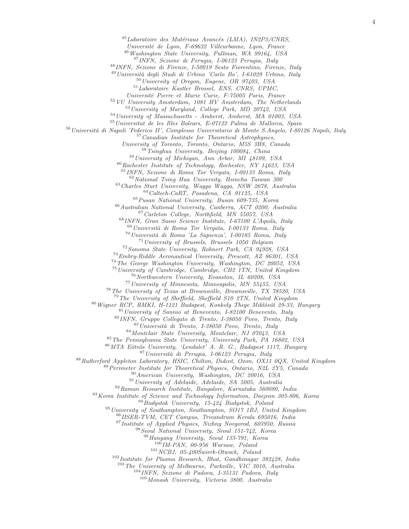$^{45}$ Laboratoire des Matériaux Avancés (LMA), IN2P3/CNRS,

Université de Lyon, F-69622 Villeurbanne, Lyon, France

Washington State University, Pullman, WA 99164, USA

INFN, Sezione di Perugia, I-06123 Perugia, Italy

INFN, Sezione di Firenze, I-50019 Sesto Fiorentino, Firenze, Italy

 $^{49}$ Università degli Studi di Urbino 'Carlo Bo', I-61029 Urbino, Italy

University of Oregon, Eugene, OR 97403, USA

Laboratoire Kastler Brossel, ENS, CNRS, UPMC,

Universit´e Pierre et Marie Curie, F-75005 Paris, France

 $52 VU$  University Amsterdam, 1081 HV Amsterdam, The Netherlands

University of Maryland, College Park, MD 20742, USA

University of Massachusetts - Amherst, Amherst, MA 01003, USA

Universitat de les Illes Balears, E-07122 Palma de Mallorca, Spain

<sup>56</sup> Università di Napoli 'Federico II', Complesso Universitario di Monte S.Angelo, I-80126 Napoli, Italy

Canadian Institute for Theoretical Astrophysics,

University of Toronto, Toronto, Ontario, M5S 3H8, Canada

Tsinghua University, Beijing 100084, China

University of Michigan, Ann Arbor, MI 48109, USA

Rochester Institute of Technology, Rochester, NY 14623, USA

INFN, Sezione di Roma Tor Vergata, I-00133 Roma, Italy

National Tsing Hua University, Hsinchu Taiwan 300

Charles Sturt University, Wagga Wagga, NSW 2678, Australia Caltech-CaRT, Pasadena, CA 91125, USA

Pusan National University, Busan 609-735, Korea

Australian National University, Canberra, ACT 0200, Australia Carleton College, Northfield, MN 55057, USA

INFN, Gran Sasso Science Institute, I-67100 L'Aquila, Italy

<sup>69</sup> Università di Roma Tor Vergata, I-00133 Roma, Italy Università di Roma 'La Sapienza', I-00185 Roma, Italy

University of Brussels, Brussels 1050 Belgium

Sonoma State University, Rohnert Park, CA 94928, USA

Embry-Riddle Aeronautical University, Prescott, AZ 86301, USA

The George Washington University, Washington, DC 20052, USA

University of Cambridge, Cambridge, CB2 1TN, United Kingdom

<sup>76</sup> Northwestern University, Evanston, IL 60208, USA

University of Minnesota, Minneapolis, MN 55455, USA

The University of Texas at Brownsville, Brownsville, TX 78520, USA

The University of Sheffield, Sheffield S10 2TN, United Kingdom

Wigner RCP, RMKI, H-1121 Budapest, Konkoly Thege Miklósút 29-33, Hungary

University of Sannio at Benevento, I-82100 Benevento, Italy

INFN, Gruppo Collegato di Trento, I-38050 Povo, Trento, Italy

Università di Trento, I-38050 Povo, Trento, Italy

Montclair State University, Montclair, NJ 07043, USA

The Pennsylvania State University, University Park, PA 16802, USA

86 MTA Eötvös University, 'Lendulet' A. R. G., Budapest 1117, Hungary

<sup>87</sup> Università di Perugia, I-06123 Perugia, Italy

Rutherford Appleton Laboratory, HSIC, Chilton, Didcot, Oxon, OX11 0QX, United Kingdom

Perimeter Institute for Theoretical Physics, Ontario, N2L 2Y5, Canada

American University, Washington, DC 20016, USA

University of Adelaide, Adelaide, SA 5005, Australia

Raman Research Institute, Bangalore, Karnataka 560080, India

<sup>93</sup> Korea Institute of Science and Technology Information, Daejeon 305-806, Korea

Białystok University, 15-424 Białystok, Poland

University of Southampton, Southampton, SO17 1BJ, United Kingdom

IISER-TVM, CET Campus, Trivandrum Kerala 695016, India

<sup>97</sup> Institute of Applied Physics, Nizhny Novgorod, 603950, Russia

Seoul National University, Seoul 151-742, Korea

Hanyang University, Seoul 133-791, Korea

 $^{100}$ IM-PAN, 00-956 Warsaw, Poland

NCBJ,  $05 - 400$ Świerk-Otwock, Poland

<sup>102</sup> Institute for Plasma Research, Bhat, Gandhinagar 382428, India

The University of Melbourne, Parkville, VIC 3010, Australia

INFN, Sezione di Padova, I-35131 Padova, Italy

Monash University, Victoria 3800, Australia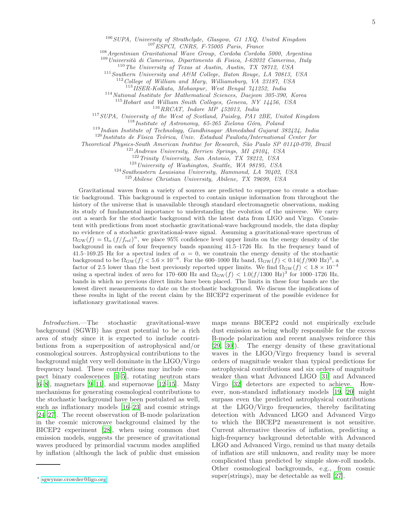$106$  SUPA, University of Strathclyde, Glasgow, G1 1XQ, United Kingdom <sup>107</sup>ESPCI, CNRS, F-75005 Paris, France

<sup>108</sup>Argentinian Gravitational Wave Group, Cordoba Cordoba 5000, Argentina

 $109$ Università di Camerino, Dipartimento di Fisica, I-62032 Camerino, Italy

<sup>110</sup>The University of Texas at Austin, Austin, TX 78712, USA

<sup>111</sup>Southern University and A&M College, Baton Rouge, LA 70813, USA

 $112$  College of William and Mary, Williamsburg, VA 23187, USA

<sup>113</sup>IISER-Kolkata, Mohanpur, West Bengal 741252, India

<sup>114</sup>National Institute for Mathematical Sciences, Daejeon 305-390, Korea

 $^{115}$  Hobart and William Smith Colleges, Geneva, NY 14456, USA

 $^{116}RRCAT,$  Indore $\ \dot{MP}$ 452013, India

<sup>117</sup>SUPA, University of the West of Scotland, Paisley, PA1 2BE, United Kingdom

 $118$  Institute of Astronomy, 65-265 Zielona Góra, Poland

 $119$ Indian Institute of Technology, Gandhinagar Ahmedabad Gujarat 382424, India

 $120$ Instituto de Física Teórica, Univ. Estadual Paulista/International Center for

Theoretical Physics-South American Institue for Research, S˜ao Paulo SP 01140-070, Brazil

<sup>121</sup> Andrews University, Berrien Springs, MI 49104, USA

 $122$  Trinity University, San Antonio, TX 78212, USA

 $123$  University of Washington, Seattle, WA 98195, USA

<sup>124</sup>Southeastern Louisiana University, Hammond, LA 70402, USA

<sup>125</sup>Abilene Christian University, Abilene, TX 79699, USA

Gravitational waves from a variety of sources are predicted to superpose to create a stochastic background. This background is expected to contain unique information from throughout the history of the universe that is unavailable through standard electromagnetic observations, making its study of fundamental importance to understanding the evolution of the universe. We carry out a search for the stochastic background with the latest data from LIGO and Virgo. Consistent with predictions from most stochastic gravitational-wave background models, the data display no evidence of a stochastic gravitational-wave signal. Assuming a gravitational-wave spectrum of  $\Omega_{\rm GW}(f) = \Omega_{\alpha} (f/f_{\rm ref})^{\alpha}$ , we place 95% confidence level upper limits on the energy density of the background in each of four frequency bands spanning 41.5–1726 Hz. In the frequency band of 41.5–169.25 Hz for a spectral index of  $\alpha = 0$ , we constrain the energy density of the stochastic background to be  $\Omega_{\rm GW}(f) < 5.6 \times 10^{-6}$ . For the 600–1000 Hz band,  $\Omega_{\rm GW}(f) < 0.14(f/900 \text{ Hz})^3$ , a factor of 2.5 lower than the best previously reported upper limits. We find  $\Omega_{\rm GW}(f) < 1.8 \times 10^{-4}$ using a spectral index of zero for 170–600 Hz and  $\Omega_{\rm GW}(f) < 1.0 (f/1300 \text{ Hz})^3$  for 1000–1726 Hz, bands in which no previous direct limits have been placed. The limits in these four bands are the lowest direct measurements to date on the stochastic background. We discuss the implications of these results in light of the recent claim by the BICEP2 experiment of the possible evidence for inflationary gravitational waves.

Introduction.—The stochastic gravitational-wave background (SGWB) has great potential to be a rich area of study since it is expected to include contributions from a superposition of astrophysical and/or cosmological sources. Astrophysical contributions to the background might very well dominate in the LIGO/Virgo frequency band. These contributions may include compact binary coalescences [\[1–](#page-9-0)[5\]](#page-9-1), rotating neutron stars  $[6–8]$  $[6–8]$ , magnetars  $[9–11]$  $[9–11]$ , and supernovae  $[12–15]$  $[12–15]$ . Many mechanisms for generating cosmological contributions to the stochastic background have been postulated as well, such as inflationary models [\[16](#page-9-8)[–23\]](#page-9-9) and cosmic strings [\[24](#page-9-10)[–27\]](#page-9-11). The recent observation of B-mode polarization in the cosmic microwave background claimed by the BICEP2 experiment [\[28](#page-9-12)], when using common dust emission models, suggests the presence of gravitational waves produced by primordial vacuum modes amplified by inflation (although the lack of public dust emission

maps means BICEP2 could not empirically exclude dust emission as being wholly responsible for the excess B-mode polarization and recent analyses reinforce this [\[29,](#page-9-13) [30](#page-9-14)]). The energy density of these gravitational waves in the LIGO/Virgo frequency band is several orders of magnitude weaker than typical predictions for astrophysical contributions and six orders of magnitude weaker than what Advanced LIGO [\[31\]](#page-9-15) and Advanced Virgo [\[32\]](#page-9-16) detectors are expected to achieve. However, non-standard inflationary models [\[19,](#page-9-17) [20\]](#page-9-18) might surpass even the predicted astrophysical contributions at the LIGO/Virgo frequencies, thereby facilitating detection with Advanced LIGO and Advanced Virgo to which the BICEP2 measurement is not sensitive. Current alternative theories of inflation, predicting a high-frequency background detectable with Advanced LIGO and Advanced Virgo, remind us that many details of inflation are still unknown, and reality may be more complicated than predicted by simple slow-roll models. Other cosmological backgrounds, e.g., from cosmic super(strings), may be detectable as well [\[27](#page-9-11)].

<span id="page-4-0"></span><sup>∗</sup> [sgwynne.crowder@ligo.org](mailto:sgwynne.crowder@ligo.org)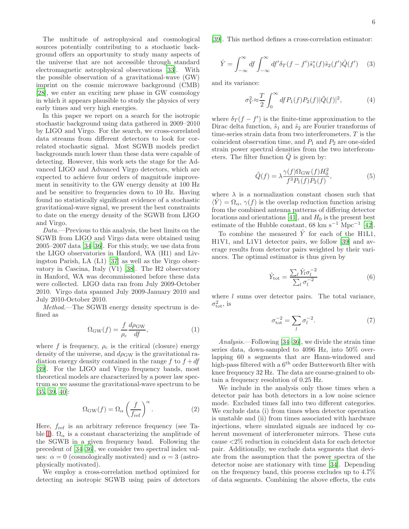The multitude of astrophysical and cosmological sources potentially contributing to a stochastic background offers an opportunity to study many aspects of the universe that are not accessible through standard electromagnetic astrophysical observations [\[33\]](#page-9-19). With the possible observation of a gravitational-wave (GW) imprint on the cosmic microwave background (CMB) [\[28\]](#page-9-12), we enter an exciting new phase in GW cosmology in which it appears plausible to study the physics of very early times and very high energies.

In this paper we report on a search for the isotropic stochastic background using data gathered in 2009–2010 by LIGO and Virgo. For the search, we cross-correlated data streams from different detectors to look for correlated stochastic signal. Most SGWB models predict backgrounds much lower than these data were capable of detecting. However, this work sets the stage for the Advanced LIGO and Advanced Virgo detectors, which are expected to achieve four orders of magnitude improvement in sensitivity to the GW energy density at 100 Hz and be sensitive to frequencies down to 10 Hz. Having found no statistically significant evidence of a stochastic gravitational-wave signal, we present the best constraints to date on the energy density of the SGWB from LIGO and Virgo.

Data.—Previous to this analysis, the best limits on the SGWB from LIGO and Virgo data were obtained using 2005–2007 data [\[34](#page-9-20)[–36](#page-9-21)]. For this study, we use data from the LIGO observatories in Hanford, WA (H1) and Livingston Parish, LA (L1) [\[37\]](#page-9-22) as well as the Virgo observatory in Cascina, Italy (V1) [\[38\]](#page-9-23). The H2 observatory in Hanford, WA was decommissioned before these data were collected. LIGO data ran from July 2009-October 2010. Virgo data spanned July 2009-January 2010 and July 2010-October 2010.

Method.—The SGWB energy density spectrum is defined as

$$
\Omega_{\rm GW}(f) = \frac{f}{\rho_{\rm c}} \frac{d\rho_{\rm GW}}{df},\tag{1}
$$

where f is frequency,  $\rho_c$  is the critical (closure) energy density of the universe, and  $d\rho_{\rm GW}$  is the gravitational radiation energy density contained in the range f to  $f + df$ [\[39\]](#page-9-24). For the LIGO and Virgo frequency bands, most theoretical models are characterized by a power law spectrum so we assume the gravitational-wave spectrum to be [\[35,](#page-9-25) [39,](#page-9-24) [40\]](#page-9-26):

<span id="page-5-1"></span>
$$
\Omega_{\rm GW}(f) = \Omega_{\alpha} \left(\frac{f}{f_{\rm ref}}\right)^{\alpha}.
$$
 (2)

Here,  $f_{ref}$  is an arbitrary reference frequency (see Ta-ble [I\)](#page-7-0).  $\Omega_{\alpha}$  is a constant characterizing the amplitude of the SGWB in a given frequency band. Following the precedent of [\[34](#page-9-20)[–36](#page-9-21)], we consider two spectral index values:  $\alpha = 0$  (cosmologically motivated) and  $\alpha = 3$  (astrophysically motivated).

We employ a cross-correlation method optimized for detecting an isotropic SGWB using pairs of detectors [\[39\]](#page-9-24). This method defines a cross-correlation estimator:

<span id="page-5-0"></span>
$$
\hat{Y} = \int_{-\infty}^{\infty} df \int_{-\infty}^{\infty} df' \delta_T (f - f') \tilde{s}_1^*(f) \tilde{s}_2(f') \tilde{Q}(f') \quad (3)
$$

and its variance:

$$
\sigma_Y^2 \approx \frac{T}{2} \int_0^\infty df P_1(f) P_2(f) |\tilde{Q}(f)|^2, \tag{4}
$$

where  $\delta_T(f - f')$  is the finite-time approximation to the Dirac delta function,  $\tilde{s}_1$  and  $\tilde{s}_2$  are Fourier transforms of time-series strain data from two interferometers, T is the coincident observation time, and  $P_1$  and  $P_2$  are one-sided strain power spectral densities from the two interferometers. The filter function  $Q$  is given by:

$$
\tilde{Q}(f) = \lambda \frac{\gamma(f)\Omega_{\rm GW}(f)H_0^2}{f^3 P_1(f)P_2(f)},\tag{5}
$$

where  $\lambda$  is a normalization constant chosen such that  $\langle Y \rangle = \Omega_{\alpha}, \gamma(f)$  is the overlap reduction function arising from the combined antenna patterns of differing detector locations and orientations [\[41\]](#page-9-27), and  $H_0$  is the present best estimate of the Hubble constant, 68 km s<sup>-1</sup> Mpc<sup>-1</sup> [\[42\]](#page-9-28).

To combine the measured  $\hat{Y}$  for each of the H1L1, H1V1, and L1V1 detector pairs, we follow [\[39\]](#page-9-24) and average results from detector pairs weighted by their variances. The optimal estimator is thus given by

$$
\hat{Y}_{\text{tot}} = \frac{\sum_{l} \hat{Y}_{l} \sigma_{l}^{-2}}{\sum_{l} \sigma_{l}^{-2}} \tag{6}
$$

where  $l$  sums over detector pairs. The total variance,  $\sigma_{\text{tot}}^2$ , is

$$
\sigma_{\text{tot}}^{-2} = \sum_{l} \sigma_l^{-2}.
$$
 (7)

Analysis.—Following [\[34](#page-9-20)[–36\]](#page-9-21), we divide the strain time series data, down-sampled to 4096 Hz, into 50% overlapping 60 s segments that are Hann-windowed and high-pass filtered with a  $6<sup>th</sup>$  order Butterworth filter with knee frequency 32 Hz. The data are coarse-grained to obtain a frequency resolution of 0.25 Hz.

We include in the analysis only those times when a detector pair has both detectors in a low noise science mode. Excluded times fall into two different categories. We exclude data (i) from times when detector operation is unstable and (ii) from times associated with hardware injections, where simulated signals are induced by coherent movement of interferometer mirrors. These cuts cause <2% reduction in coincident data for each detector pair. Additionally, we exclude data segments that deviate from the assumption that the power spectra of the detector noise are stationary with time [\[34\]](#page-9-20). Depending on the frequency band, this process excludes up to 4.7% of data segments. Combining the above effects, the cuts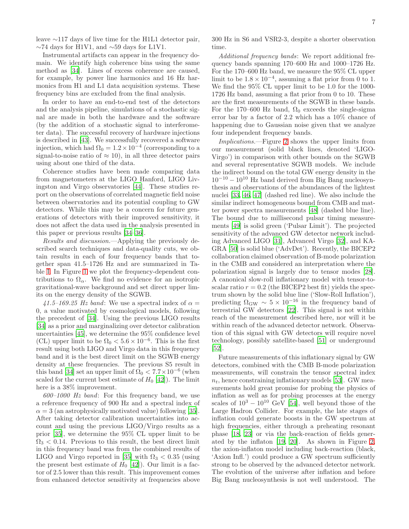Instrumental artifacts can appear in the frequency domain. We identify high coherence bins using the same method as [\[34\]](#page-9-20). Lines of excess coherence are caused, for example, by power line harmonics and 16 Hz harmonics from H1 and L1 data acquisition systems. These frequency bins are excluded from the final analysis.

In order to have an end-to-end test of the detectors and the analysis pipeline, simulations of a stochastic signal are made in both the hardware and the software (by the addition of a stochastic signal to interferometer data). The successful recovery of hardware injections is described in [\[43\]](#page-9-29). We successfully recovered a software injection, which had  $\Omega_0 = 1.2 \times 10^{-4}$  (corresponding to a signal-to-noise ratio of  $\approx$  10), in all three detector pairs using about one third of the data.

Coherence studies have been made comparing data from magnetometers at the LIGO Hanford, LIGO Livingston and Virgo observatories [\[44](#page-9-30)]. These studies report on the observations of correlated magnetic field noise between observatories and its potential coupling to GW detectors. While this may be a concern for future generations of detectors with their improved sensitivity, it does not affect the data used in the analysis presented in this paper or previous results [\[34](#page-9-20)[–36\]](#page-9-21).

Results and discussion.—Applying the previously described search techniques and data-quality cuts, we obtain results in each of four frequency bands that together span 41.5–1726 Hz and are summarized in Table [I.](#page-7-0) In Figure [1](#page-7-1) we plot the frequency-dependent contributions to  $\Omega_{\alpha}$ . We find no evidence for an isotropic gravitational-wave background and set direct upper limits on the energy density of the SGWB.

41.5–169.25 Hz band: We use a spectral index of  $\alpha =$ 0, a value motivated by cosmological models, following the precedent of [\[34\]](#page-9-20). Using the previous LIGO results [\[34\]](#page-9-20) as a prior and marginalizing over detector calibration uncertainties [\[45](#page-9-31)], we determine the 95% confidence level (CL) upper limit to be  $\Omega_0 < 5.6 \times 10^{-6}$ . This is the first result using both LIGO and Virgo data in this frequency band and it is the best direct limit on the SGWB energy density at these frequencies. The previous S5 result in this band [\[34](#page-9-20)] set an upper limit of  $\Omega_0 < 7.7 \times 10^{-6}$  (when scaled for the current best estimate of  $H_0$  [\[42\]](#page-9-28)). The limit here is a  $38\%$  improvement.

 $600-1000$  Hz band: For this frequency band, we use a reference frequency of 900 Hz and a spectral index of  $\alpha = 3$  (an astrophysically motivated value) following [\[35\]](#page-9-25). After taking detector calibration uncertainties into account and using the previous LIGO/Virgo results as a prior [\[35\]](#page-9-25), we determine the 95% CL upper limit to be  $\Omega_3$  < 0.14. Previous to this result, the best direct limit in this frequency band was from the combined results of LIGO and Virgo reported in [\[35\]](#page-9-25) with  $\Omega_3 < 0.35$  (using the present best estimate of  $H_0$  [\[42](#page-9-28)]). Our limit is a factor of 2.5 lower than this result. This improvement comes from enhanced detector sensitivity at frequencies above 300 Hz in S6 and VSR2-3, despite a shorter observation time.

Additional frequency bands: We report additional frequency bands spanning 170–600 Hz and 1000–1726 Hz. For the 170–600 Hz band, we measure the 95% CL upper limit to be  $1.8 \times 10^{-4}$ , assuming a flat prior from 0 to 1. We find the 95% CL upper limit to be 1.0 for the 1000- 1726 Hz band, assuming a flat prior from 0 to 10. These are the first measurements of the SGWB in these bands. For the 170–600 Hz band,  $\Omega_0$  exceeds the single-sigma error bar by a factor of 2.2 which has a 10% chance of happening due to Gaussian noise given that we analyze four independent frequency bands.

Implications.—Figure [2](#page-8-0) shows the upper limits from our measurement (solid black lines, denoted 'LIGO-Virgo') in comparison with other bounds on the SGWB and several representative SGWB models. We include the indirect bound on the total GW energy density in the  $10^{-10} - 10^{10}$  Hz band derived from Big Bang nucleosynthesis and observations of the abundances of the lightest nuclei [\[33](#page-9-19), [46](#page-9-32), [47](#page-9-33)] (dashed red line). We also include the similar indirect homogeneous bound from CMB and matter power spectra measurements [\[48\]](#page-9-34) (dashed blue line). The bound due to millisecond pulsar timing measurements [\[49\]](#page-10-0) is solid green ('Pulsar Limit'). The projected sensitivity of the advanced GW detector network including Advanced LIGO [\[31\]](#page-9-15), Advanced Virgo [\[32\]](#page-9-16), and KA-GRA [\[50\]](#page-10-1) is solid blue ('AdvDet'). Recently, the BICEP2 collaboration claimed observation of B-mode polarization in the CMB and considered an interpretation where the polarization signal is largely due to tensor modes [\[28\]](#page-9-12). A canonical slow-roll inflationary model with tensor-toscalar ratio  $r = 0.2$  (the BICEP2 best fit) yields the spectrum shown by the solid blue line ('Slow-Roll Inflation'), predicting  $\Omega_{\rm GW} \sim 5 \times 10^{-16}$  in the frequency band of terrestrial GW detectors [\[22\]](#page-9-35). This signal is not within reach of the measurement described here, nor will it be within reach of the advanced detector network. Observation of this signal with GW detectors will require novel technology, possibly satellite-based [\[51\]](#page-10-2) or underground [\[52\]](#page-10-3).

Future measurements of this inflationary signal by GW detectors, combined with the CMB B-mode polarization measurements, will constrain the tensor spectral index  $n_t$ , hence constraining inflationary models [\[53](#page-10-4)]. GW measurements hold great promise for probing the physics of inflation as well as for probing processes at the energy scales of  $10^3 - 10^{10}$  GeV [\[54\]](#page-10-5), well beyond those of the Large Hadron Collider. For example, the late stages of inflation could generate boosts in the GW spectrum at high frequencies, either through a preheating resonant phase [\[18,](#page-9-36) [23](#page-9-9)] or via the back-reaction of fields generated by the inflaton [\[19](#page-9-17), [20](#page-9-18)]. As shown in Figure [2,](#page-8-0) the axion-inflaton model including back-reaction (black, 'Axion Infl.') could produce a GW spectrum sufficiently strong to be observed by the advanced detector network. The evolution of the universe after inflation and before Big Bang nucleosynthesis is not well understood. The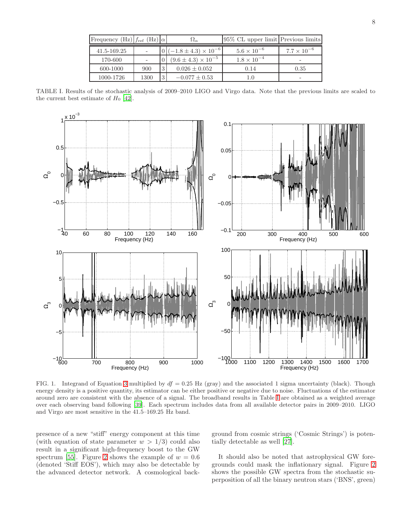| Frequency (Hz) $f_{ref}$ (Hz) $\alpha$ |      |          | $\Omega_{\alpha}$                  | 95% CL upper limit Previous limits |                      |
|----------------------------------------|------|----------|------------------------------------|------------------------------------|----------------------|
| 41.5-169.25                            |      |          | $0 (-1.8 \pm 4.3) \times 10^{-6} $ | $5.6 \times 10^{-6}$               | $7.7 \times 10^{-6}$ |
| 170-600                                |      |          | $(9.6 \pm 4.3) \times 10^{-5}$     | $1.8 \times 10^{-4}$               |                      |
| 600-1000                               | 900  | $\Omega$ | $0.026 \pm 0.052$                  | 0.14                               | 0.35                 |
| 1000-1726                              | 1300 | 13'      | $-0.077 \pm 0.53$                  |                                    |                      |

<span id="page-7-0"></span>TABLE I. Results of the stochastic analysis of 2009–2010 LIGO and Virgo data. Note that the previous limits are scaled to the current best estimate of  $H_0$  [\[42\]](#page-9-28).



<span id="page-7-1"></span>FIG. 1. Integrand of Equation [3](#page-5-0) multiplied by  $df = 0.25$  Hz (gray) and the associated 1 sigma uncertainty (black). Though energy density is a positive quantity, its estimator can be either positive or negative due to noise. Fluctuations of the estimator around zero are consistent with the absence of a signal. The broadband results in Table [I](#page-7-0) are obtained as a weighted average over each observing band following [\[39](#page-9-24)]. Each spectrum includes data from all available detector pairs in 2009–2010. LIGO and Virgo are most sensitive in the 41.5–169.25 Hz band.

presence of a new "stiff" energy component at this time (with equation of state parameter  $w > 1/3$ ) could also result in a significant high-frequency boost to the GW spectrum [\[55](#page-10-6)]. Figure [2](#page-8-0) shows the example of  $w = 0.6$ (denoted 'Stiff EOS'), which may also be detectable by the advanced detector network. A cosmological background from cosmic strings ('Cosmic Strings') is potentially detectable as well [\[27\]](#page-9-11).

It should also be noted that astrophysical GW foregrounds could mask the inflationary signal. Figure [2](#page-8-0) shows the possible GW spectra from the stochastic superposition of all the binary neutron stars ('BNS', green)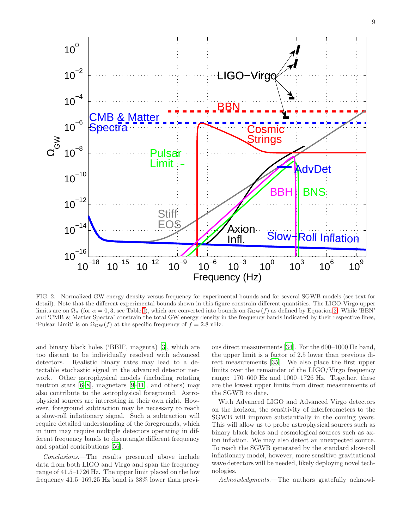

<span id="page-8-0"></span>FIG. 2. Normalized GW energy density versus frequency for experimental bounds and for several SGWB models (see text for detail). Note that the different experimental bounds shown in this figure constrain different quantities. The LIGO-Virgo upper limits are on  $\Omega_{\alpha}$  (for  $\alpha = 0, 3$ , see Table [I\)](#page-7-0), which are converted into bounds on  $\Omega_{\rm GW}(f)$  as defined by Equation [2.](#page-5-1) While 'BBN' and 'CMB & Matter Spectra' constrain the total GW energy density in the frequency bands indicated by their respective lines, 'Pulsar Limit' is on  $\Omega_{\rm GW}(f)$  at the specific frequency of  $f = 2.8$  nHz.

and binary black holes ('BBH', magenta) [\[3](#page-9-37)], which are too distant to be individually resolved with advanced detectors. Realistic binary rates may lead to a detectable stochastic signal in the advanced detector network. Other astrophysical models (including rotating neutron stars [\[6](#page-9-2)[–8\]](#page-9-3), magnetars [\[9](#page-9-4)[–11\]](#page-9-5), and others) may also contribute to the astrophysical foreground. Astrophysical sources are interesting in their own right. However, foreground subtraction may be necessary to reach a slow-roll inflationary signal. Such a subtraction will require detailed understanding of the foregrounds, which in turn may require multiple detectors operating in different frequency bands to disentangle different frequency and spatial contributions [\[56\]](#page-10-7).

Conclusions.—The results presented above include data from both LIGO and Virgo and span the frequency range of 41.5–1726 Hz. The upper limit placed on the low frequency 41.5–169.25 Hz band is 38% lower than previ-

ous direct measurements [\[34\]](#page-9-20). For the 600–1000 Hz band, the upper limit is a factor of 2.5 lower than previous direct measurements [\[35\]](#page-9-25). We also place the first upper limits over the remainder of the LIGO/Virgo frequency range: 170–600 Hz and 1000–1726 Hz. Together, these are the lowest upper limits from direct measurements of the SGWB to date.

With Advanced LIGO and Advanced Virgo detectors on the horizon, the sensitivity of interferometers to the SGWB will improve substantially in the coming years. This will allow us to probe astrophysical sources such as binary black holes and cosmological sources such as axion inflation. We may also detect an unexpected source. To reach the SGWB generated by the standard slow-roll inflationary model, however, more sensitive gravitational wave detectors will be needed, likely deploying novel technologies.

Acknowledgments.—The authors gratefully acknowl-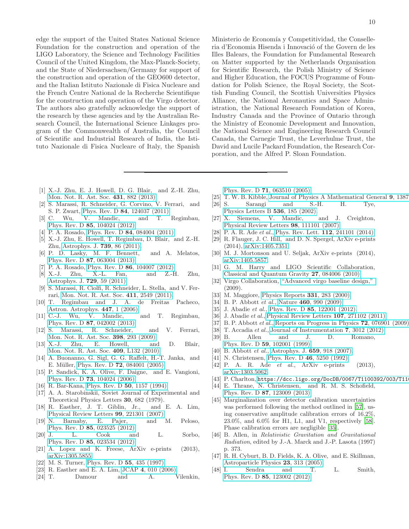edge the support of the United States National Science Foundation for the construction and operation of the LIGO Laboratory, the Science and Technology Facilities Council of the United Kingdom, the Max-Planck-Society, and the State of Niedersachsen/Germany for support of the construction and operation of the GEO600 detector, and the Italian Istituto Nazionale di Fisica Nucleare and the French Centre National de la Recherche Scientifique for the construction and operation of the Virgo detector. The authors also gratefully acknowledge the support of the research by these agencies and by the Australian Research Council, the International Science Linkages program of the Commonwealth of Australia, the Council of Scientific and Industrial Research of India, the Istituto Nazionale di Fisica Nucleare of Italy, the Spanish

- <span id="page-9-0"></span>[1] X.-J. Zhu, E. J. Howell, D. G. Blair, and Z.-H. Zhu, [Mon. Not. R. Ast. Soc.](http://dx.doi.org/10.1093/mnras/stt207) 431, 882 (2013).
- [2] S. Marassi, R. Schneider, G. Corvino, V. Ferrari, and S. P. Zwart, Phys. Rev. D 84[, 124037 \(2011\).](http://dx.doi.org/ 10.1103/PhysRevD.84.124037)
- <span id="page-9-37"></span>[3] C. Wu, V. Mandic, and T. Regimbau, Phys. Rev. D 85[, 104024 \(2012\).](http://dx.doi.org/10.1103/PhysRevD.85.104024)
- [4] P. A. Rosado, Phys. Rev. D **84**[, 084004 \(2011\).](http://dx.doi.org/10.1103/PhysRevD.84.084004)
- <span id="page-9-1"></span>[5] X.-J. Zhu, E. Howell, T. Regimbau, D. Blair, and Z.-H. Zhu, [Astrophys. J.](http://dx.doi.org/ 10.1088/0004-637X/739/2/86) 739, 86 (2011).
- <span id="page-9-2"></span>[6] P. D. Lasky, M. F. Bennett, and A. Melatos, Phys. Rev. D 87[, 063004 \(2013\).](http://dx.doi.org/10.1103/PhysRevD.87.063004)
- [7] P. A. Rosado, Phys. Rev. D 86[, 104007 \(2012\).](http://dx.doi.org/10.1103/PhysRevD.86.104007)
- <span id="page-9-3"></span>[8] X.-J. Zhu, X.-L. Fan, and Z.-H. Zhu, [Astrophys. J.](http://dx.doi.org/10.1088/0004-637X/729/1/59) 729, 59 (2011).
- <span id="page-9-4"></span>[9] S. Marassi, R. Ciolfi, R. Schneider, L. Stella, and V. Ferrari, [Mon. Not. R. Ast. Soc.](http://dx.doi.org/ 10.1111/j.1365-2966.2010.17861.x) 411, 2549 (2011).
- [10] T. Regimbau and J. A. de Freitas Pacheco, [Astron. Astrophys.](http://dx.doi.org/10.1051/0004-6361:20053702) **447**, 1 (2006).<br>C.-J. Wu, V. Mandic,
- <span id="page-9-5"></span>[11] C.-J. Wu, V. Mandic, and T. Regimbau, Phys. Rev. D 87[, 042002 \(2013\).](http://dx.doi.org/10.1103/PhysRevD.87.042002)
- <span id="page-9-6"></span>[12] S. Marassi, R. Schneider, and V. Ferrari, [Mon. Not. R. Ast. Soc.](http://dx.doi.org/10.1111/j.1365-2966.2009.15120.x) 398, 293 (2009).
- [13] X.-J. Zhu, E. Howell, and D. Blair, [Mon. Not. R. Ast. Soc.](http://dx.doi.org/10.1111/j.1745-3933.2010.00965.x) 409, L132 (2010).
- [14] A. Buonanno, G. Sigl, G. G. Raffelt, H.-T. Janka, and E. Müller, Phys. Rev. D **72**[, 084001 \(2005\).](http://dx.doi.org/ 10.1103/PhysRevD.72.084001)
- <span id="page-9-7"></span>[15] P. Sandick, K. A. Olive, F. Daigne, and E. Vangioni, Phys. Rev. D 73[, 104024 \(2006\).](http://dx.doi.org/ 10.1103/PhysRevD.73.104024)
- <span id="page-9-8"></span>[16] R. Bar-Kana, [Phys. Rev. D](http://dx.doi.org/10.1103/PhysRevD.50.1157) **50**, 1157 (1994).
- [17] A. A. Starobinskiı̆, Soviet Journal of Experimental and Theoretical Physics Letters 30, 682 (1979).
- <span id="page-9-36"></span>[18] R. Easther, J. T. Giblin, Jr., and E. A. Lim, [Physical Review Letters](http://dx.doi.org/ 10.1103/PhysRevLett.99.221301) 99, 221301 (2007).
- <span id="page-9-17"></span>[19] N. Barnaby, E. Pajer, and M. Peloso, Phys. Rev. D 85[, 023525 \(2012\).](http://dx.doi.org/10.1103/PhysRevD.85.023525)
- <span id="page-9-18"></span>[20] J. L. Cook and L. Sorbo, Phys. Rev. D 85[, 023534 \(2012\).](http://dx.doi.org/10.1103/PhysRevD.85.023534)
- [21] A. Lopez and K. Freese, ArXiv e-prints (2013), [arXiv:1305.5855.](http://arxiv.org/abs/1305.5855)
- <span id="page-9-35"></span>[22] M. S. Turner, [Phys. Rev. D](http://dx.doi.org/10.1103/PhysRevD.55.R435) 55, 435 (1997).
- <span id="page-9-9"></span>[23] R. Easther and E. A. Lim, JCAP 4[, 010 \(2006\).](http://dx.doi.org/10.1088/1475-7516/2006/04/010)
- <span id="page-9-10"></span>[24] T. Damour and A. Vilenkin,

Ministerio de Economía y Competitividad, the Conselleria d'Economia Hisenda i Innovació of the Govern de les Illes Balears, the Foundation for Fundamental Research on Matter supported by the Netherlands Organisation for Scientific Research, the Polish Ministry of Science and Higher Education, the FOCUS Programme of Foundation for Polish Science, the Royal Society, the Scottish Funding Council, the Scottish Universities Physics Alliance, the National Aeronautics and Space Administration, the National Research Foundation of Korea, Industry Canada and the Province of Ontario through the Ministry of Economic Development and Innovation, the National Science and Engineering Research Council Canada, the Carnegie Trust, the Leverhulme Trust, the David and Lucile Packard Foundation, the Research Corporation, and the Alfred P. Sloan Foundation.

Phys. Rev. D 71[, 063510 \(2005\).](http://dx.doi.org/10.1103/PhysRevD.71.063510)

- [25] T. W. B. Kibble, [Journal of Physics A Mathematical General](http://dx.doi.org/10.1088/0305-4470/9/8/029) 9, 1387
- [26] S. Sarangi and S.-H. H. Tye, [Physics Letters B](http://dx.doi.org/10.1016/S0370-2693(02)01824-5) 536, 185 (2002).
- <span id="page-9-11"></span>[27] X. Siemens, V. Mandic, and J. Creighton, [Physical Review Letters](http://dx.doi.org/10.1103/PhysRevLett.98.111101) 98, 111101 (2007).
- <span id="page-9-12"></span>[28] P. A. R. Ade *et al.*, [Phys. Rev. Lett.](http://dx.doi.org/ 10.1103/PhysRevLett.112.241101)  $112$ ,  $241101$   $(2014)$ .
- <span id="page-9-13"></span>[29] R. Flauger, J. C. Hill, and D. N. Spergel, ArXiv e-prints (2014), [arXiv:1405.7351.](http://arxiv.org/abs/1405.7351)
- <span id="page-9-14"></span>[30] M. J. Mortonson and U. Seljak, ArXiv e-prints (2014), [arXiv:1405.5857.](http://arxiv.org/abs/1405.5857)
- <span id="page-9-15"></span>[31] G. M. Harry and LIGO Scientific Collaboration, [Classical and Quantum Gravity](http://dx.doi.org/10.1088/0264-9381/27/8/084006) 27, 084006 (2010).
- <span id="page-9-16"></span>[32] Virgo Collaboration, ["Advanced virgo baseline design,"](https://tds.ego-gw.it/itf/tds/file.php?callFile=VIR-0027A-09.pdf) (2009).
- <span id="page-9-19"></span>[33] M. Maggiore, [Physics Reports](http://dx.doi.org/10.1016/S0370-1573(99)00102-7) 331, 283 (2000).
- <span id="page-9-20"></span>[34] B. P. Abbott *et al.*, Nature **460**[, 990 \(2009\).](http://dx.doi.org/10.1038/nature08278)
- <span id="page-9-25"></span>[35] J. Abadie et al., Phys. Rev. D 85[, 122001 \(2012\).](http://dx.doi.org/10.1103/PhysRevD.85.122001)
- <span id="page-9-21"></span>[36] J. Abadie et al., [Physical Review Letters](http://dx.doi.org/10.1103/PhysRevLett.107.271102) **107**, 271102 (2011).
- <span id="page-9-22"></span>[37] B. P. Abbott et al., [Reports on Progress in Physics](http://dx.doi.org/10.1088/0034-4885/72/7/076901) 72, 076901 (2009)
- <span id="page-9-23"></span>[38] T. Accadia *et al.*, [Journal of Instrumentation](http://dx.doi.org/10.1088/1748-0221/7/03/P03012) **7**, 3012 (2012).<br>[39] B. Allen and J. D. Romano, Allen and J. D. Romano,
- <span id="page-9-24"></span>Phys. Rev. D 59[, 102001 \(1999\).](http://dx.doi.org/10.1103/PhysRevD.59.102001) [40] B. Abbott *et al.*, [Astrophys. J.](http://dx.doi.org/10.1086/511329) **659**, 918 (2007).
- <span id="page-9-27"></span><span id="page-9-26"></span>[41] N. Christensen, [Phys. Rev. D](http://dx.doi.org/10.1103/PhysRevD.46.5250) **46**, 5250 (1992).
- <span id="page-9-28"></span>[42] P. A. R. Ade *et al.*, ArXiv e-prints (2013), [arXiv:1303.5062.](http://arxiv.org/abs/1303.5062)
- <span id="page-9-29"></span>[43] P. Charlton, https://dcc.ligo.org/DocDB/0067/T1100392/003/T11
- <span id="page-9-30"></span>[44] E. Thrane, N. Christensen, and R. M. S. Schofield, Phys. Rev. D 87[, 123009 \(2013\).](http://dx.doi.org/10.1103/PhysRevD.87.123009)
- <span id="page-9-31"></span>[45] Marginalization over detector calibration uncertainties was performed following the method outlined in [\[57](#page-10-8)], using conservative amplitude calibration errors of 16.2%, 23.0%, and 6.0% for H1, L1, and V1, respectively [\[58\]](#page-10-9). Phase calibration errors are negligible [\[35](#page-9-25)].
- <span id="page-9-32"></span>[46] B. Allen, in Relativistic Gravitation and Gravitational Radiation, edited by J.-A. Marck and J.-P. Lasota (1997) p. 373.
- <span id="page-9-33"></span>[47] R. H. Cyburt, B. D. Fields, K. A. Olive, and E. Skillman, [Astroparticle Physics](http://dx.doi.org/10.1016/j.astropartphys.2005.01.005) 23, 313 (2005).
- <span id="page-9-34"></span>[48] I. Sendra and T. L. Smith, Phys. Rev. D 85[, 123002 \(2012\).](http://dx.doi.org/10.1103/PhysRevD.85.123002)